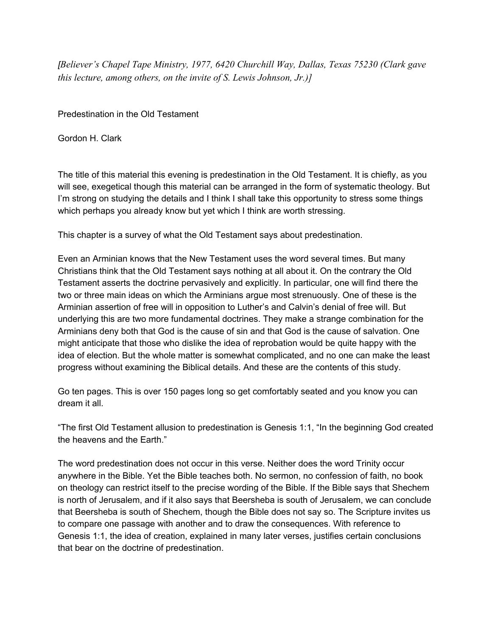*[Believer's Chapel Tape Ministry, 1977, 6420 Churchill Way, Dallas, Texas 75230 (Clark gave this lecture, among others, on the invite of S. Lewis Johnson, Jr.)]*

Predestination in the Old Testament

Gordon H. Clark

The title of this material this evening is predestination in the Old Testament. It is chiefly, as you will see, exegetical though this material can be arranged in the form of systematic theology. But I'm strong on studying the details and I think I shall take this opportunity to stress some things which perhaps you already know but yet which I think are worth stressing.

This chapter is a survey of what the Old Testament says about predestination.

Even an Arminian knows that the New Testament uses the word several times. But many Christians think that the Old Testament says nothing at all about it. On the contrary the Old Testament asserts the doctrine pervasively and explicitly. In particular, one will find there the two or three main ideas on which the Arminians argue most strenuously. One of these is the Arminian assertion of free will in opposition to Luther's and Calvin's denial of free will. But underlying this are two more fundamental doctrines. They make a strange combination for the Arminians deny both that God is the cause of sin and that God is the cause of salvation. One might anticipate that those who dislike the idea of reprobation would be quite happy with the idea of election. But the whole matter is somewhat complicated, and no one can make the least progress without examining the Biblical details. And these are the contents of this study.

Go ten pages. This is over 150 pages long so get comfortably seated and you know you can dream it all.

"The first Old Testament allusion to predestination is Genesis 1:1, "In the beginning God created the heavens and the Earth."

The word predestination does not occur in this verse. Neither does the word Trinity occur anywhere in the Bible. Yet the Bible teaches both. No sermon, no confession of faith, no book on theology can restrict itself to the precise wording of the Bible. If the Bible says that Shechem is north of Jerusalem, and if it also says that Beersheba is south of Jerusalem, we can conclude that Beersheba is south of Shechem, though the Bible does not say so. The Scripture invites us to compare one passage with another and to draw the consequences. With reference to Genesis 1:1, the idea of creation, explained in many later verses, justifies certain conclusions that bear on the doctrine of predestination.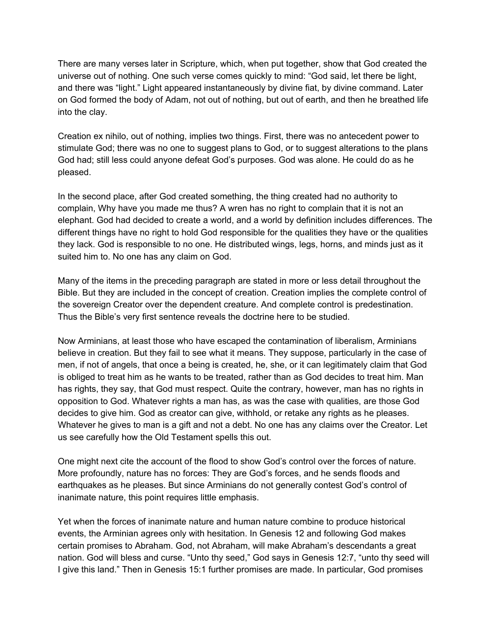There are many verses later in Scripture, which, when put together, show that God created the universe out of nothing. One such verse comes quickly to mind: "God said, let there be light, and there was "light." Light appeared instantaneously by divine fiat, by divine command. Later on God formed the body of Adam, not out of nothing, but out of earth, and then he breathed life into the clay.

Creation ex nihilo, out of nothing, implies two things. First, there was no antecedent power to stimulate God; there was no one to suggest plans to God, or to suggest alterations to the plans God had; still less could anyone defeat God's purposes. God was alone. He could do as he pleased.

In the second place, after God created something, the thing created had no authority to complain, Why have you made me thus? A wren has no right to complain that it is not an elephant. God had decided to create a world, and a world by definition includes differences. The different things have no right to hold God responsible for the qualities they have or the qualities they lack. God is responsible to no one. He distributed wings, legs, horns, and minds just as it suited him to. No one has any claim on God.

Many of the items in the preceding paragraph are stated in more or less detail throughout the Bible. But they are included in the concept of creation. Creation implies the complete control of the sovereign Creator over the dependent creature. And complete control is predestination. Thus the Bible's very first sentence reveals the doctrine here to be studied.

Now Arminians, at least those who have escaped the contamination of liberalism, Arminians believe in creation. But they fail to see what it means. They suppose, particularly in the case of men, if not of angels, that once a being is created, he, she, or it can legitimately claim that God is obliged to treat him as he wants to be treated, rather than as God decides to treat him. Man has rights, they say, that God must respect. Quite the contrary, however, man has no rights in opposition to God. Whatever rights a man has, as was the case with qualities, are those God decides to give him. God as creator can give, withhold, or retake any rights as he pleases. Whatever he gives to man is a gift and not a debt. No one has any claims over the Creator. Let us see carefully how the Old Testament spells this out.

One might next cite the account of the flood to show God's control over the forces of nature. More profoundly, nature has no forces: They are God's forces, and he sends floods and earthquakes as he pleases. But since Arminians do not generally contest God's control of inanimate nature, this point requires little emphasis.

Yet when the forces of inanimate nature and human nature combine to produce historical events, the Arminian agrees only with hesitation. In Genesis 12 and following God makes certain promises to Abraham. God, not Abraham, will make Abraham's descendants a great nation. God will bless and curse. "Unto thy seed," God says in Genesis 12:7, "unto thy seed will I give this land." Then in Genesis 15:1 further promises are made. In particular, God promises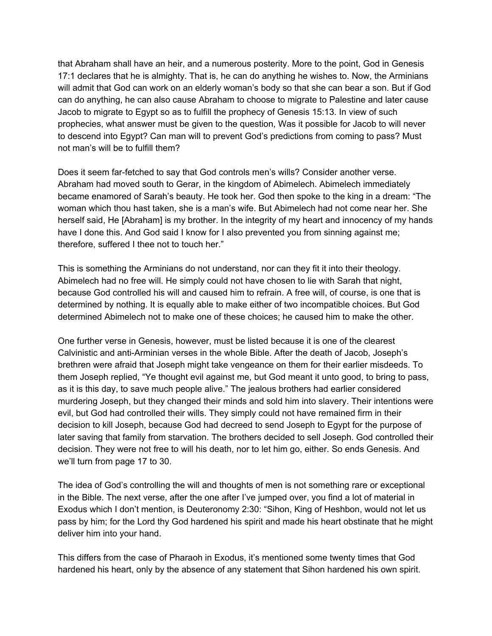that Abraham shall have an heir, and a numerous posterity. More to the point, God in Genesis 17:1 declares that he is almighty. That is, he can do anything he wishes to. Now, the Arminians will admit that God can work on an elderly woman's body so that she can bear a son. But if God can do anything, he can also cause Abraham to choose to migrate to Palestine and later cause Jacob to migrate to Egypt so as to fulfill the prophecy of Genesis 15:13. In view of such prophecies, what answer must be given to the question, Was it possible for Jacob to will never to descend into Egypt? Can man will to prevent God's predictions from coming to pass? Must not man's will be to fulfill them?

Does it seem far-fetched to say that God controls men's wills? Consider another verse. Abraham had moved south to Gerar, in the kingdom of Abimelech. Abimelech immediately became enamored of Sarah's beauty. He took her. God then spoke to the king in a dream: "The woman which thou hast taken, she is a man's wife. But Abimelech had not come near her. She herself said, He [Abraham] is my brother. In the integrity of my heart and innocency of my hands have I done this. And God said I know for I also prevented you from sinning against me; therefore, suffered I thee not to touch her."

This is something the Arminians do not understand, nor can they fit it into their theology. Abimelech had no free will. He simply could not have chosen to lie with Sarah that night, because God controlled his will and caused him to refrain. A free will, of course, is one that is determined by nothing. It is equally able to make either of two incompatible choices. But God determined Abimelech not to make one of these choices; he caused him to make the other.

One further verse in Genesis, however, must be listed because it is one of the clearest Calvinistic and anti-Arminian verses in the whole Bible. After the death of Jacob, Joseph's brethren were afraid that Joseph might take vengeance on them for their earlier misdeeds. To them Joseph replied, "Ye thought evil against me, but God meant it unto good, to bring to pass, as it is this day, to save much people alive." The jealous brothers had earlier considered murdering Joseph, but they changed their minds and sold him into slavery. Their intentions were evil, but God had controlled their wills. They simply could not have remained firm in their decision to kill Joseph, because God had decreed to send Joseph to Egypt for the purpose of later saving that family from starvation. The brothers decided to sell Joseph. God controlled their decision. They were not free to will his death, nor to let him go, either. So ends Genesis. And we'll turn from page 17 to 30.

The idea of God's controlling the will and thoughts of men is not something rare or exceptional in the Bible. The next verse, after the one after I've jumped over, you find a lot of material in Exodus which I don't mention, is Deuteronomy 2:30: "Sihon, King of Heshbon, would not let us pass by him; for the Lord thy God hardened his spirit and made his heart obstinate that he might deliver him into your hand.

This differs from the case of Pharaoh in Exodus, it's mentioned some twenty times that God hardened his heart, only by the absence of any statement that Sihon hardened his own spirit.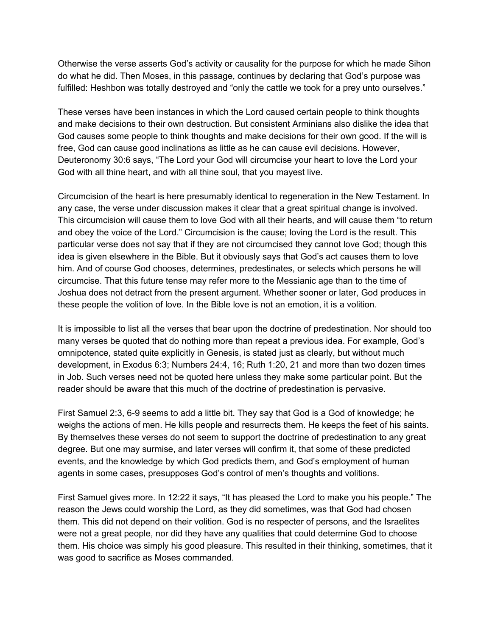Otherwise the verse asserts God's activity or causality for the purpose for which he made Sihon do what he did. Then Moses, in this passage, continues by declaring that God's purpose was fulfilled: Heshbon was totally destroyed and "only the cattle we took for a prey unto ourselves."

These verses have been instances in which the Lord caused certain people to think thoughts and make decisions to their own destruction. But consistent Arminians also dislike the idea that God causes some people to think thoughts and make decisions for their own good. If the will is free, God can cause good inclinations as little as he can cause evil decisions. However, Deuteronomy 30:6 says, "The Lord your God will circumcise your heart to love the Lord your God with all thine heart, and with all thine soul, that you mayest live.

Circumcision of the heart is here presumably identical to regeneration in the New Testament. In any case, the verse under discussion makes it clear that a great spiritual change is involved. This circumcision will cause them to love God with all their hearts, and will cause them "to return and obey the voice of the Lord." Circumcision is the cause; loving the Lord is the result. This particular verse does not say that if they are not circumcised they cannot love God; though this idea is given elsewhere in the Bible. But it obviously says that God's act causes them to love him. And of course God chooses, determines, predestinates, or selects which persons he will circumcise. That this future tense may refer more to the Messianic age than to the time of Joshua does not detract from the present argument. Whether sooner or later, God produces in these people the volition of love. In the Bible love is not an emotion, it is a volition.

It is impossible to list all the verses that bear upon the doctrine of predestination. Nor should too many verses be quoted that do nothing more than repeat a previous idea. For example, God's omnipotence, stated quite explicitly in Genesis, is stated just as clearly, but without much development, in Exodus 6:3; Numbers 24:4, 16; Ruth 1:20, 21 and more than two dozen times in Job. Such verses need not be quoted here unless they make some particular point. But the reader should be aware that this much of the doctrine of predestination is pervasive.

First Samuel 2:3, 69 seems to add a little bit. They say that God is a God of knowledge; he weighs the actions of men. He kills people and resurrects them. He keeps the feet of his saints. By themselves these verses do not seem to support the doctrine of predestination to any great degree. But one may surmise, and later verses will confirm it, that some of these predicted events, and the knowledge by which God predicts them, and God's employment of human agents in some cases, presupposes God's control of men's thoughts and volitions.

First Samuel gives more. In 12:22 it says, "It has pleased the Lord to make you his people." The reason the Jews could worship the Lord, as they did sometimes, was that God had chosen them. This did not depend on their volition. God is no respecter of persons, and the Israelites were not a great people, nor did they have any qualities that could determine God to choose them. His choice was simply his good pleasure. This resulted in their thinking, sometimes, that it was good to sacrifice as Moses commanded.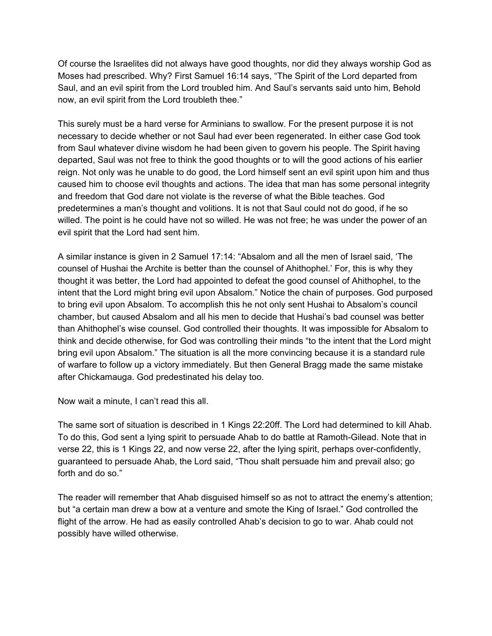Of course the Israelites did not always have good thoughts, nor did they always worship God as Moses had prescribed. Why? First Samuel 16:14 says, "The Spirit of the Lord departed from Saul, and an evil spirit from the Lord troubled him. And Saul's servants said unto him, Behold now, an evil spirit from the Lord troubleth thee."

This surely must be a hard verse for Arminians to swallow. For the present purpose it is not necessary to decide whether or not Saul had ever been regenerated. In either case God took from Saul whatever divine wisdom he had been given to govern his people. The Spirit having departed, Saul was not free to think the good thoughts or to will the good actions of his earlier reign. Not only was he unable to do good, the Lord himself sent an evil spirit upon him and thus caused him to choose evil thoughts and actions. The idea that man has some personal integrity and freedom that God dare not violate is the reverse of what the Bible teaches. God predetermines a man's thought and volitions. It is not that Saul could not do good, if he so willed. The point is he could have not so willed. He was not free; he was under the power of an evil spirit that the Lord had sent him.

A similar instance is given in 2 Samuel 17:14: "Absalom and all the men of Israel said, 'The counsel of Hushai the Archite is better than the counsel of Ahithophel.' For, this is why they thought it was better, the Lord had appointed to defeat the good counsel of Ahithophel, to the intent that the Lord might bring evil upon Absalom." Notice the chain of purposes. God purposed to bring evil upon Absalom. To accomplish this he not only sent Hushai to Absalom's council chamber, but caused Absalom and all his men to decide that Hushai's bad counsel was better than Ahithophel's wise counsel. God controlled their thoughts. It was impossible for Absalom to think and decide otherwise, for God was controlling their minds "to the intent that the Lord might bring evil upon Absalom." The situation is all the more convincing because it is a standard rule of warfare to follow up a victory immediately. But then General Bragg made the same mistake after Chickamauga. God predestinated his delay too.

Now wait a minute, I can't read this all.

The same sort of situation is described in 1 Kings 22:20ff. The Lord had determined to kill Ahab. To do this, God sent a lying spirit to persuade Ahab to do battle at Ramoth-Gilead. Note that in verse 22, this is 1 Kings 22, and now verse 22, after the lying spirit, perhaps over-confidently, guaranteed to persuade Ahab, the Lord said, "Thou shalt persuade him and prevail also; go forth and do so."

The reader will remember that Ahab disguised himself so as not to attract the enemy's attention; but "a certain man drew a bow at a venture and smote the King of Israel." God controlled the flight of the arrow. He had as easily controlled Ahab's decision to go to war. Ahab could not possibly have willed otherwise.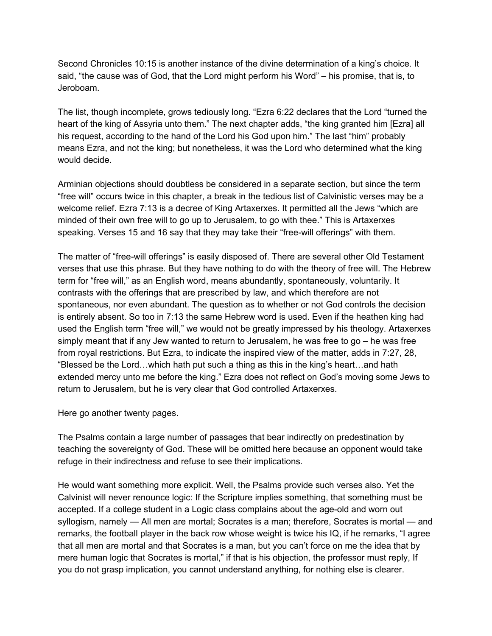Second Chronicles 10:15 is another instance of the divine determination of a king's choice. It said, "the cause was of God, that the Lord might perform his Word" – his promise, that is, to Jeroboam.

The list, though incomplete, grows tediously long. "Ezra 6:22 declares that the Lord "turned the heart of the king of Assyria unto them." The next chapter adds, "the king granted him [Ezra] all his request, according to the hand of the Lord his God upon him." The last "him" probably means Ezra, and not the king; but nonetheless, it was the Lord who determined what the king would decide.

Arminian objections should doubtless be considered in a separate section, but since the term "free will" occurs twice in this chapter, a break in the tedious list of Calvinistic verses may be a welcome relief. Ezra 7:13 is a decree of King Artaxerxes. It permitted all the Jews "which are minded of their own free will to go up to Jerusalem, to go with thee." This is Artaxerxes speaking. Verses 15 and 16 say that they may take their "free-will offerings" with them.

The matter of "free-will offerings" is easily disposed of. There are several other Old Testament verses that use this phrase. But they have nothing to do with the theory of free will. The Hebrew term for "free will," as an English word, means abundantly, spontaneously, voluntarily. It contrasts with the offerings that are prescribed by law, and which therefore are not spontaneous, nor even abundant. The question as to whether or not God controls the decision is entirely absent. So too in 7:13 the same Hebrew word is used. Even if the heathen king had used the English term "free will," we would not be greatly impressed by his theology. Artaxerxes simply meant that if any Jew wanted to return to Jerusalem, he was free to go – he was free from royal restrictions. But Ezra, to indicate the inspired view of the matter, adds in 7:27, 28, "Blessed be the Lord…which hath put such a thing as this in the king's heart…and hath extended mercy unto me before the king." Ezra does not reflect on God's moving some Jews to return to Jerusalem, but he is very clear that God controlled Artaxerxes.

Here go another twenty pages.

The Psalms contain a large number of passages that bear indirectly on predestination by teaching the sovereignty of God. These will be omitted here because an opponent would take refuge in their indirectness and refuse to see their implications.

He would want something more explicit. Well, the Psalms provide such verses also. Yet the Calvinist will never renounce logic: If the Scripture implies something, that something must be accepted. If a college student in a Logic class complains about the age-old and worn out syllogism, namely — All men are mortal; Socrates is a man; therefore, Socrates is mortal — and remarks, the football player in the back row whose weight is twice his IQ, if he remarks, "I agree that all men are mortal and that Socrates is a man, but you can't force on me the idea that by mere human logic that Socrates is mortal," if that is his objection, the professor must reply, If you do not grasp implication, you cannot understand anything, for nothing else is clearer.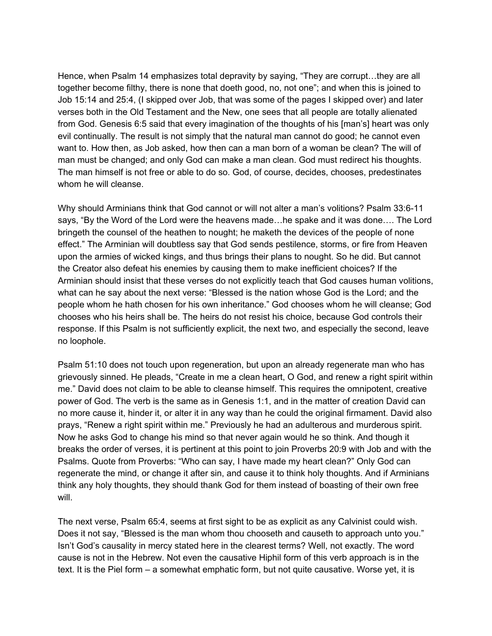Hence, when Psalm 14 emphasizes total depravity by saying, "They are corrupt…they are all together become filthy, there is none that doeth good, no, not one"; and when this is joined to Job 15:14 and 25:4, (I skipped over Job, that was some of the pages I skipped over) and later verses both in the Old Testament and the New, one sees that all people are totally alienated from God. Genesis 6:5 said that every imagination of the thoughts of his [man's] heart was only evil continually. The result is not simply that the natural man cannot do good; he cannot even want to. How then, as Job asked, how then can a man born of a woman be clean? The will of man must be changed; and only God can make a man clean. God must redirect his thoughts. The man himself is not free or able to do so. God, of course, decides, chooses, predestinates whom he will cleanse.

Why should Arminians think that God cannot or will not alter a man's volitions? Psalm 33:6-11 says, "By the Word of the Lord were the heavens made…he spake and it was done…. The Lord bringeth the counsel of the heathen to nought; he maketh the devices of the people of none effect." The Arminian will doubtless say that God sends pestilence, storms, or fire from Heaven upon the armies of wicked kings, and thus brings their plans to nought. So he did. But cannot the Creator also defeat his enemies by causing them to make inefficient choices? If the Arminian should insist that these verses do not explicitly teach that God causes human volitions, what can he say about the next verse: "Blessed is the nation whose God is the Lord; and the people whom he hath chosen for his own inheritance." God chooses whom he will cleanse; God chooses who his heirs shall be. The heirs do not resist his choice, because God controls their response. If this Psalm is not sufficiently explicit, the next two, and especially the second, leave no loophole.

Psalm 51:10 does not touch upon regeneration, but upon an already regenerate man who has grievously sinned. He pleads, "Create in me a clean heart, O God, and renew a right spirit within me." David does not claim to be able to cleanse himself. This requires the omnipotent, creative power of God. The verb is the same as in Genesis 1:1, and in the matter of creation David can no more cause it, hinder it, or alter it in any way than he could the original firmament. David also prays, "Renew a right spirit within me." Previously he had an adulterous and murderous spirit. Now he asks God to change his mind so that never again would he so think. And though it breaks the order of verses, it is pertinent at this point to join Proverbs 20:9 with Job and with the Psalms. Quote from Proverbs: "Who can say, I have made my heart clean?" Only God can regenerate the mind, or change it after sin, and cause it to think holy thoughts. And if Arminians think any holy thoughts, they should thank God for them instead of boasting of their own free will.

The next verse, Psalm 65:4, seems at first sight to be as explicit as any Calvinist could wish. Does it not say, "Blessed is the man whom thou chooseth and causeth to approach unto you." Isn't God's causality in mercy stated here in the clearest terms? Well, not exactly. The word cause is not in the Hebrew. Not even the causative Hiphil form of this verb approach is in the text. It is the Piel form – a somewhat emphatic form, but not quite causative. Worse yet, it is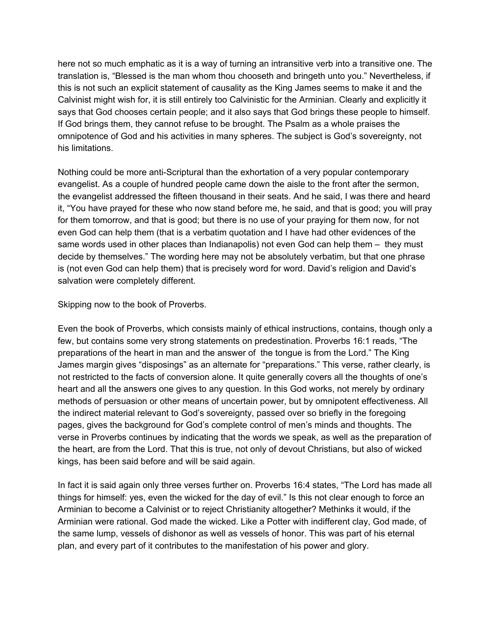here not so much emphatic as it is a way of turning an intransitive verb into a transitive one. The translation is, "Blessed is the man whom thou chooseth and bringeth unto you." Nevertheless, if this is not such an explicit statement of causality as the King James seems to make it and the Calvinist might wish for, it is still entirely too Calvinistic for the Arminian. Clearly and explicitly it says that God chooses certain people; and it also says that God brings these people to himself. If God brings them, they cannot refuse to be brought. The Psalm as a whole praises the omnipotence of God and his activities in many spheres. The subject is God's sovereignty, not his limitations.

Nothing could be more anti-Scriptural than the exhortation of a very popular contemporary evangelist. As a couple of hundred people came down the aisle to the front after the sermon, the evangelist addressed the fifteen thousand in their seats. And he said, I was there and heard it, "You have prayed for these who now stand before me, he said, and that is good; you will pray for them tomorrow, and that is good; but there is no use of your praying for them now, for not even God can help them (that is a verbatim quotation and I have had other evidences of the same words used in other places than Indianapolis) not even God can help them – they must decide by themselves." The wording here may not be absolutely verbatim, but that one phrase is (not even God can help them) that is precisely word for word. David's religion and David's salvation were completely different.

Skipping now to the book of Proverbs.

Even the book of Proverbs, which consists mainly of ethical instructions, contains, though only a few, but contains some very strong statements on predestination. Proverbs 16:1 reads, "The preparations of the heart in man and the answer of the tongue is from the Lord." The King James margin gives "disposings" as an alternate for "preparations." This verse, rather clearly, is not restricted to the facts of conversion alone. It quite generally covers all the thoughts of one's heart and all the answers one gives to any question. In this God works, not merely by ordinary methods of persuasion or other means of uncertain power, but by omnipotent effectiveness. All the indirect material relevant to God's sovereignty, passed over so briefly in the foregoing pages, gives the background for God's complete control of men's minds and thoughts. The verse in Proverbs continues by indicating that the words we speak, as well as the preparation of the heart, are from the Lord. That this is true, not only of devout Christians, but also of wicked kings, has been said before and will be said again.

In fact it is said again only three verses further on. Proverbs 16:4 states, "The Lord has made all things for himself: yes, even the wicked for the day of evil." Is this not clear enough to force an Arminian to become a Calvinist or to reject Christianity altogether? Methinks it would, if the Arminian were rational. God made the wicked. Like a Potter with indifferent clay, God made, of the same lump, vessels of dishonor as well as vessels of honor. This was part of his eternal plan, and every part of it contributes to the manifestation of his power and glory.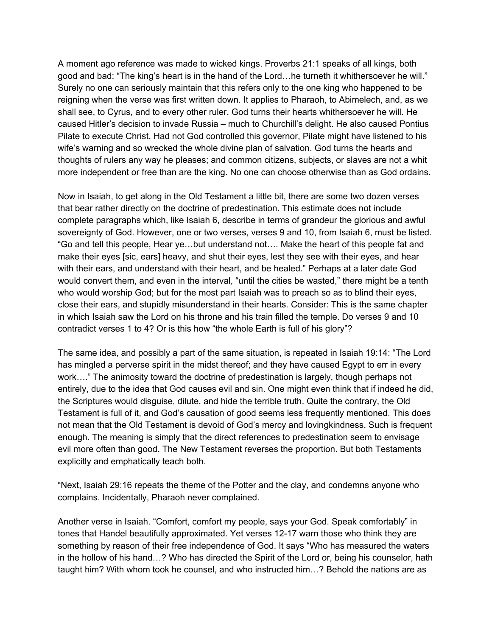A moment ago reference was made to wicked kings. Proverbs 21:1 speaks of all kings, both good and bad: "The king's heart is in the hand of the Lord…he turneth it whithersoever he will." Surely no one can seriously maintain that this refers only to the one king who happened to be reigning when the verse was first written down. It applies to Pharaoh, to Abimelech, and, as we shall see, to Cyrus, and to every other ruler. God turns their hearts whithersoever he will. He caused Hitler's decision to invade Russia – much to Churchill's delight. He also caused Pontius Pilate to execute Christ. Had not God controlled this governor, Pilate might have listened to his wife's warning and so wrecked the whole divine plan of salvation. God turns the hearts and thoughts of rulers any way he pleases; and common citizens, subjects, or slaves are not a whit more independent or free than are the king. No one can choose otherwise than as God ordains.

Now in Isaiah, to get along in the Old Testament a little bit, there are some two dozen verses that bear rather directly on the doctrine of predestination. This estimate does not include complete paragraphs which, like Isaiah 6, describe in terms of grandeur the glorious and awful sovereignty of God. However, one or two verses, verses 9 and 10, from Isaiah 6, must be listed. "Go and tell this people, Hear ye…but understand not…. Make the heart of this people fat and make their eyes [sic, ears] heavy, and shut their eyes, lest they see with their eyes, and hear with their ears, and understand with their heart, and be healed." Perhaps at a later date God would convert them, and even in the interval, "until the cities be wasted," there might be a tenth who would worship God; but for the most part Isaiah was to preach so as to blind their eyes, close their ears, and stupidly misunderstand in their hearts. Consider: This is the same chapter in which Isaiah saw the Lord on his throne and his train filled the temple. Do verses 9 and 10 contradict verses 1 to 4? Or is this how "the whole Earth is full of his glory"?

The same idea, and possibly a part of the same situation, is repeated in Isaiah 19:14: "The Lord has mingled a perverse spirit in the midst thereof; and they have caused Egypt to err in every work…." The animosity toward the doctrine of predestination is largely, though perhaps not entirely, due to the idea that God causes evil and sin. One might even think that if indeed he did, the Scriptures would disguise, dilute, and hide the terrible truth. Quite the contrary, the Old Testament is full of it, and God's causation of good seems less frequently mentioned. This does not mean that the Old Testament is devoid of God's mercy and lovingkindness. Such is frequent enough. The meaning is simply that the direct references to predestination seem to envisage evil more often than good. The New Testament reverses the proportion. But both Testaments explicitly and emphatically teach both.

"Next, Isaiah 29:16 repeats the theme of the Potter and the clay, and condemns anyone who complains. Incidentally, Pharaoh never complained.

Another verse in Isaiah. "Comfort, comfort my people, says your God. Speak comfortably" in tones that Handel beautifully approximated. Yet verses 12-17 warn those who think they are something by reason of their free independence of God. It says "Who has measured the waters in the hollow of his hand…? Who has directed the Spirit of the Lord or, being his counselor, hath taught him? With whom took he counsel, and who instructed him…? Behold the nations are as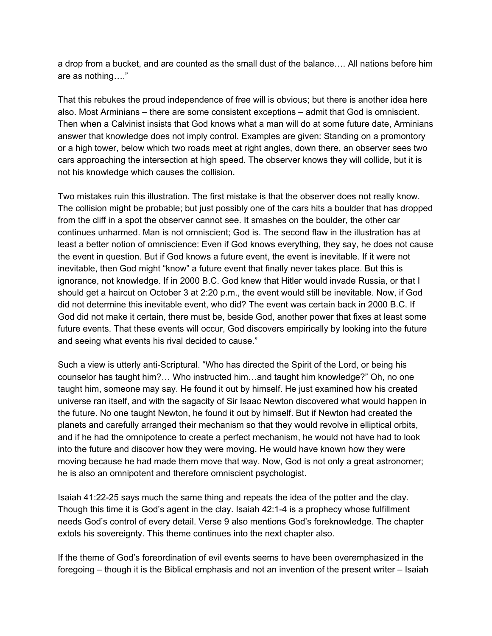a drop from a bucket, and are counted as the small dust of the balance…. All nations before him are as nothing…."

That this rebukes the proud independence of free will is obvious; but there is another idea here also. Most Arminians – there are some consistent exceptions – admit that God is omniscient. Then when a Calvinist insists that God knows what a man will do at some future date, Arminians answer that knowledge does not imply control. Examples are given: Standing on a promontory or a high tower, below which two roads meet at right angles, down there, an observer sees two cars approaching the intersection at high speed. The observer knows they will collide, but it is not his knowledge which causes the collision.

Two mistakes ruin this illustration. The first mistake is that the observer does not really know. The collision might be probable; but just possibly one of the cars hits a boulder that has dropped from the cliff in a spot the observer cannot see. It smashes on the boulder, the other car continues unharmed. Man is not omniscient; God is. The second flaw in the illustration has at least a better notion of omniscience: Even if God knows everything, they say, he does not cause the event in question. But if God knows a future event, the event is inevitable. If it were not inevitable, then God might "know" a future event that finally never takes place. But this is ignorance, not knowledge. If in 2000 B.C. God knew that Hitler would invade Russia, or that I should get a haircut on October 3 at 2:20 p.m., the event would still be inevitable. Now, if God did not determine this inevitable event, who did? The event was certain back in 2000 B.C. If God did not make it certain, there must be, beside God, another power that fixes at least some future events. That these events will occur, God discovers empirically by looking into the future and seeing what events his rival decided to cause."

Such a view is utterly anti-Scriptural. "Who has directed the Spirit of the Lord, or being his counselor has taught him?… Who instructed him…and taught him knowledge?" Oh, no one taught him, someone may say. He found it out by himself. He just examined how his created universe ran itself, and with the sagacity of Sir Isaac Newton discovered what would happen in the future. No one taught Newton, he found it out by himself. But if Newton had created the planets and carefully arranged their mechanism so that they would revolve in elliptical orbits, and if he had the omnipotence to create a perfect mechanism, he would not have had to look into the future and discover how they were moving. He would have known how they were moving because he had made them move that way. Now, God is not only a great astronomer; he is also an omnipotent and therefore omniscient psychologist.

Isaiah 41:2225 says much the same thing and repeats the idea of the potter and the clay. Though this time it is God's agent in the clay. Isaiah 42:14 is a prophecy whose fulfillment needs God's control of every detail. Verse 9 also mentions God's foreknowledge. The chapter extols his sovereignty. This theme continues into the next chapter also.

If the theme of God's foreordination of evil events seems to have been overemphasized in the foregoing – though it is the Biblical emphasis and not an invention of the present writer – Isaiah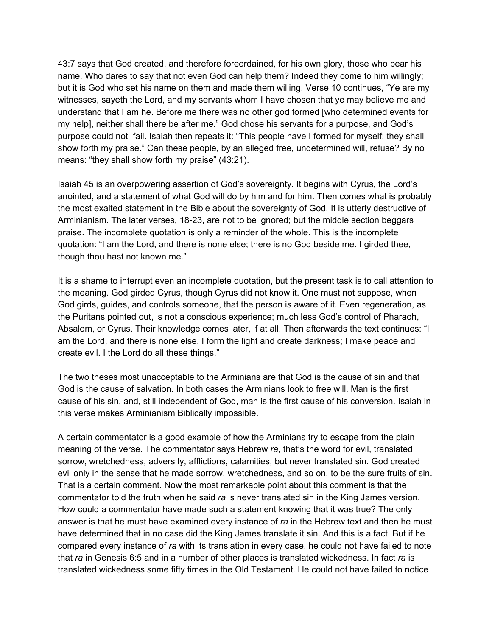43:7 says that God created, and therefore foreordained, for his own glory, those who bear his name. Who dares to say that not even God can help them? Indeed they come to him willingly; but it is God who set his name on them and made them willing. Verse 10 continues, "Ye are my witnesses, sayeth the Lord, and my servants whom I have chosen that ye may believe me and understand that I am he. Before me there was no other god formed [who determined events for my help], neither shall there be after me." God chose his servants for a purpose, and God's purpose could not fail. Isaiah then repeats it: "This people have I formed for myself: they shall show forth my praise." Can these people, by an alleged free, undetermined will, refuse? By no means: "they shall show forth my praise" (43:21).

Isaiah 45 is an overpowering assertion of God's sovereignty. It begins with Cyrus, the Lord's anointed, and a statement of what God will do by him and for him. Then comes what is probably the most exalted statement in the Bible about the sovereignty of God. It is utterly destructive of Arminianism. The later verses, 1823, are not to be ignored; but the middle section beggars praise. The incomplete quotation is only a reminder of the whole. This is the incomplete quotation: "I am the Lord, and there is none else; there is no God beside me. I girded thee, though thou hast not known me."

It is a shame to interrupt even an incomplete quotation, but the present task is to call attention to the meaning. God girded Cyrus, though Cyrus did not know it. One must not suppose, when God girds, guides, and controls someone, that the person is aware of it. Even regeneration, as the Puritans pointed out, is not a conscious experience; much less God's control of Pharaoh, Absalom, or Cyrus. Their knowledge comes later, if at all. Then afterwards the text continues: "I am the Lord, and there is none else. I form the light and create darkness; I make peace and create evil. I the Lord do all these things."

The two theses most unacceptable to the Arminians are that God is the cause of sin and that God is the cause of salvation. In both cases the Arminians look to free will. Man is the first cause of his sin, and, still independent of God, man is the first cause of his conversion. Isaiah in this verse makes Arminianism Biblically impossible.

A certain commentator is a good example of how the Arminians try to escape from the plain meaning of the verse. The commentator says Hebrew *ra*, that's the word for evil, translated sorrow, wretchedness, adversity, afflictions, calamities, but never translated sin. God created evil only in the sense that he made sorrow, wretchedness, and so on, to be the sure fruits of sin. That is a certain comment. Now the most remarkable point about this comment is that the commentator told the truth when he said *ra* is never translated sin in the King James version. How could a commentator have made such a statement knowing that it was true? The only answer is that he must have examined every instance of *ra* in the Hebrew text and then he must have determined that in no case did the King James translate it sin. And this is a fact. But if he compared every instance of *ra* with its translation in every case, he could not have failed to note that *ra* in Genesis 6:5 and in a number of other places is translated wickedness. In fact *ra* is translated wickedness some fifty times in the Old Testament. He could not have failed to notice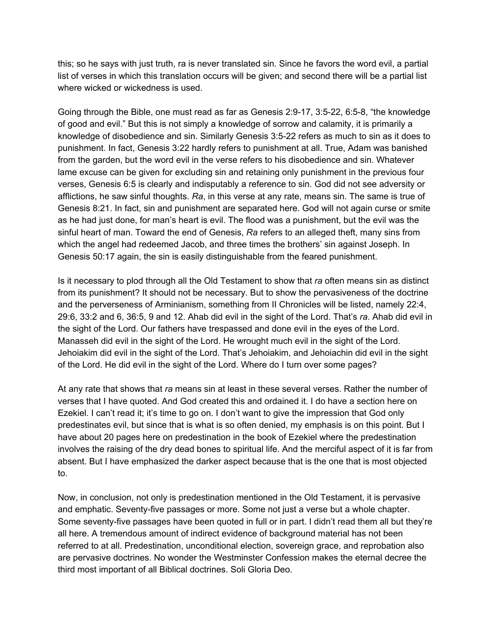this; so he says with just truth, ra is never translated sin. Since he favors the word evil, a partial list of verses in which this translation occurs will be given; and second there will be a partial list where wicked or wickedness is used.

Going through the Bible, one must read as far as Genesis 2:9-17, 3:5-22, 6:5-8, "the knowledge of good and evil." But this is not simply a knowledge of sorrow and calamity, it is primarily a knowledge of disobedience and sin. Similarly Genesis 3:5-22 refers as much to sin as it does to punishment. In fact, Genesis 3:22 hardly refers to punishment at all. True, Adam was banished from the garden, but the word evil in the verse refers to his disobedience and sin. Whatever lame excuse can be given for excluding sin and retaining only punishment in the previous four verses, Genesis 6:5 is clearly and indisputably a reference to sin. God did not see adversity or afflictions, he saw sinful thoughts. *Ra*, in this verse at any rate, means sin. The same is true of Genesis 8:21. In fact, sin and punishment are separated here. God will not again curse or smite as he had just done, for man's heart is evil. The flood was a punishment, but the evil was the sinful heart of man. Toward the end of Genesis, *Ra* refers to an alleged theft, many sins from which the angel had redeemed Jacob, and three times the brothers' sin against Joseph. In Genesis 50:17 again, the sin is easily distinguishable from the feared punishment.

Is it necessary to plod through all the Old Testament to show that *ra* often means sin as distinct from its punishment? It should not be necessary. But to show the pervasiveness of the doctrine and the perverseness of Arminianism, something from II Chronicles will be listed, namely 22:4, 29:6, 33:2 and 6, 36:5, 9 and 12. Ahab did evil in the sight of the Lord. That's *ra*. Ahab did evil in the sight of the Lord. Our fathers have trespassed and done evil in the eyes of the Lord. Manasseh did evil in the sight of the Lord. He wrought much evil in the sight of the Lord. Jehoiakim did evil in the sight of the Lord. That's Jehoiakim, and Jehoiachin did evil in the sight of the Lord. He did evil in the sight of the Lord. Where do I turn over some pages?

At any rate that shows that *ra* means sin at least in these several verses. Rather the number of verses that I have quoted. And God created this and ordained it. I do have a section here on Ezekiel. I can't read it; it's time to go on. I don't want to give the impression that God only predestinates evil, but since that is what is so often denied, my emphasis is on this point. But I have about 20 pages here on predestination in the book of Ezekiel where the predestination involves the raising of the dry dead bones to spiritual life. And the merciful aspect of it is far from absent. But I have emphasized the darker aspect because that is the one that is most objected to.

Now, in conclusion, not only is predestination mentioned in the Old Testament, it is pervasive and emphatic. Seventy-five passages or more. Some not just a verse but a whole chapter. Some seventy-five passages have been quoted in full or in part. I didn't read them all but they're all here. A tremendous amount of indirect evidence of background material has not been referred to at all. Predestination, unconditional election, sovereign grace, and reprobation also are pervasive doctrines. No wonder the Westminster Confession makes the eternal decree the third most important of all Biblical doctrines. Soli Gloria Deo.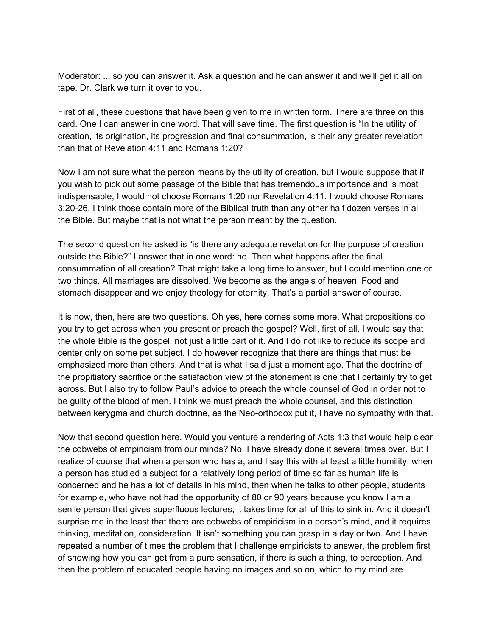Moderator: ... so you can answer it. Ask a question and he can answer it and we'll get it all on tape. Dr. Clark we turn it over to you.

First of all, these questions that have been given to me in written form. There are three on this card. One I can answer in one word. That will save time. The first question is "In the utility of creation, its origination, its progression and final consummation, is their any greater revelation than that of Revelation 4:11 and Romans 1:20?

Now I am not sure what the person means by the utility of creation, but I would suppose that if you wish to pick out some passage of the Bible that has tremendous importance and is most indispensable, I would not choose Romans 1:20 nor Revelation 4:11. I would choose Romans 3:2026. I think those contain more of the Biblical truth than any other half dozen verses in all the Bible. But maybe that is not what the person meant by the question.

The second question he asked is "is there any adequate revelation for the purpose of creation outside the Bible?" I answer that in one word: no. Then what happens after the final consummation of all creation? That might take a long time to answer, but I could mention one or two things. All marriages are dissolved. We become as the angels of heaven. Food and stomach disappear and we enjoy theology for eternity. That's a partial answer of course.

It is now, then, here are two questions. Oh yes, here comes some more. What propositions do you try to get across when you present or preach the gospel? Well, first of all, I would say that the whole Bible is the gospel, not just a little part of it. And I do not like to reduce its scope and center only on some pet subject. I do however recognize that there are things that must be emphasized more than others. And that is what I said just a moment ago. That the doctrine of the propitiatory sacrifice or the satisfaction view of the atonement is one that I certainly try to get across. But I also try to follow Paul's advice to preach the whole counsel of God in order not to be guilty of the blood of men. I think we must preach the whole counsel, and this distinction between kerygma and church doctrine, as the Neo-orthodox put it, I have no sympathy with that.

Now that second question here. Would you venture a rendering of Acts 1:3 that would help clear the cobwebs of empiricism from our minds? No. I have already done it several times over. But I realize of course that when a person who has a, and I say this with at least a little humility, when a person has studied a subject for a relatively long period of time so far as human life is concerned and he has a lot of details in his mind, then when he talks to other people, students for example, who have not had the opportunity of 80 or 90 years because you know I am a senile person that gives superfluous lectures, it takes time for all of this to sink in. And it doesn't surprise me in the least that there are cobwebs of empiricism in a person's mind, and it requires thinking, meditation, consideration. It isn't something you can grasp in a day or two. And I have repeated a number of times the problem that I challenge empiricists to answer, the problem first of showing how you can get from a pure sensation, if there is such a thing, to perception. And then the problem of educated people having no images and so on, which to my mind are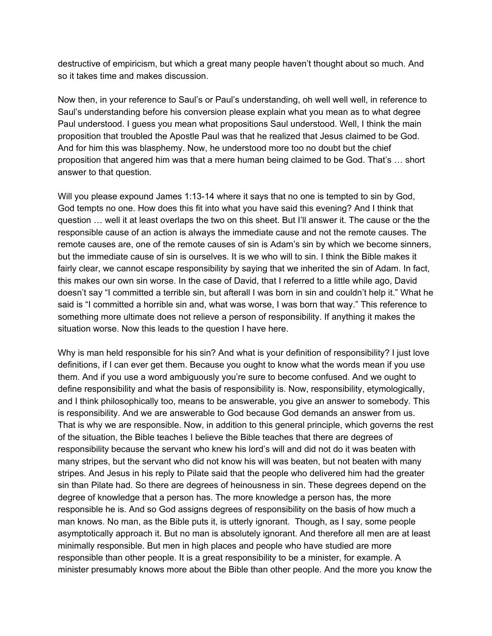destructive of empiricism, but which a great many people haven't thought about so much. And so it takes time and makes discussion.

Now then, in your reference to Saul's or Paul's understanding, oh well well well, in reference to Saul's understanding before his conversion please explain what you mean as to what degree Paul understood. I guess you mean what propositions Saul understood. Well, I think the main proposition that troubled the Apostle Paul was that he realized that Jesus claimed to be God. And for him this was blasphemy. Now, he understood more too no doubt but the chief proposition that angered him was that a mere human being claimed to be God. That's … short answer to that question.

Will you please expound James 1:13-14 where it says that no one is tempted to sin by God, God tempts no one. How does this fit into what you have said this evening? And I think that question … well it at least overlaps the two on this sheet. But I'll answer it. The cause or the the responsible cause of an action is always the immediate cause and not the remote causes. The remote causes are, one of the remote causes of sin is Adam's sin by which we become sinners, but the immediate cause of sin is ourselves. It is we who will to sin. I think the Bible makes it fairly clear, we cannot escape responsibility by saying that we inherited the sin of Adam. In fact, this makes our own sin worse. In the case of David, that I referred to a little while ago, David doesn't say "I committed a terrible sin, but afterall I was born in sin and couldn't help it." What he said is "I committed a horrible sin and, what was worse, I was born that way." This reference to something more ultimate does not relieve a person of responsibility. If anything it makes the situation worse. Now this leads to the question I have here.

Why is man held responsible for his sin? And what is your definition of responsibility? I just love definitions, if I can ever get them. Because you ought to know what the words mean if you use them. And if you use a word ambiguously you're sure to become confused. And we ought to define responsibility and what the basis of responsibility is. Now, responsibility, etymologically, and I think philosophically too, means to be answerable, you give an answer to somebody. This is responsibility. And we are answerable to God because God demands an answer from us. That is why we are responsible. Now, in addition to this general principle, which governs the rest of the situation, the Bible teaches I believe the Bible teaches that there are degrees of responsibility because the servant who knew his lord's will and did not do it was beaten with many stripes, but the servant who did not know his will was beaten, but not beaten with many stripes. And Jesus in his reply to Pilate said that the people who delivered him had the greater sin than Pilate had. So there are degrees of heinousness in sin. These degrees depend on the degree of knowledge that a person has. The more knowledge a person has, the more responsible he is. And so God assigns degrees of responsibility on the basis of how much a man knows. No man, as the Bible puts it, is utterly ignorant. Though, as I say, some people asymptotically approach it. But no man is absolutely ignorant. And therefore all men are at least minimally responsible. But men in high places and people who have studied are more responsible than other people. It is a great responsibility to be a minister, for example. A minister presumably knows more about the Bible than other people. And the more you know the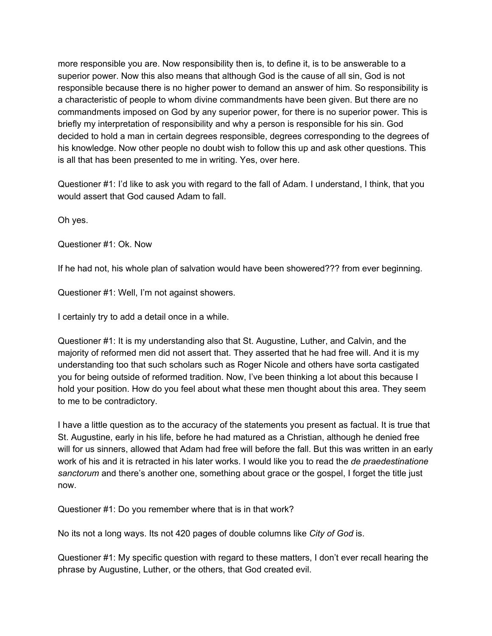more responsible you are. Now responsibility then is, to define it, is to be answerable to a superior power. Now this also means that although God is the cause of all sin, God is not responsible because there is no higher power to demand an answer of him. So responsibility is a characteristic of people to whom divine commandments have been given. But there are no commandments imposed on God by any superior power, for there is no superior power. This is briefly my interpretation of responsibility and why a person is responsible for his sin. God decided to hold a man in certain degrees responsible, degrees corresponding to the degrees of his knowledge. Now other people no doubt wish to follow this up and ask other questions. This is all that has been presented to me in writing. Yes, over here.

Questioner #1: I'd like to ask you with regard to the fall of Adam. I understand, I think, that you would assert that God caused Adam to fall.

Oh yes.

Questioner #1: Ok. Now

If he had not, his whole plan of salvation would have been showered??? from ever beginning.

Questioner #1: Well, I'm not against showers.

I certainly try to add a detail once in a while.

Questioner #1: It is my understanding also that St. Augustine, Luther, and Calvin, and the majority of reformed men did not assert that. They asserted that he had free will. And it is my understanding too that such scholars such as Roger Nicole and others have sorta castigated you for being outside of reformed tradition. Now, I've been thinking a lot about this because I hold your position. How do you feel about what these men thought about this area. They seem to me to be contradictory.

I have a little question as to the accuracy of the statements you present as factual. It is true that St. Augustine, early in his life, before he had matured as a Christian, although he denied free will for us sinners, allowed that Adam had free will before the fall. But this was written in an early work of his and it is retracted in his later works. I would like you to read the *de praedestinatione sanctorum* and there's another one, something about grace or the gospel, I forget the title just now.

Questioner #1: Do you remember where that is in that work?

No its not a long ways. Its not 420 pages of double columns like *City of God* is.

Questioner #1: My specific question with regard to these matters, I don't ever recall hearing the phrase by Augustine, Luther, or the others, that God created evil.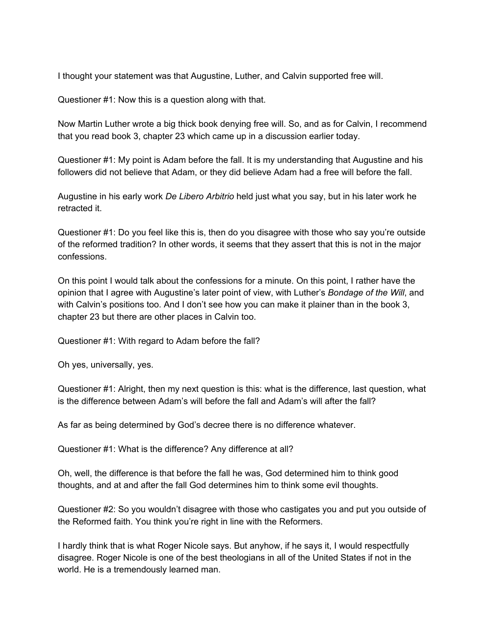I thought your statement was that Augustine, Luther, and Calvin supported free will.

Questioner #1: Now this is a question along with that.

Now Martin Luther wrote a big thick book denying free will. So, and as for Calvin, I recommend that you read book 3, chapter 23 which came up in a discussion earlier today.

Questioner #1: My point is Adam before the fall. It is my understanding that Augustine and his followers did not believe that Adam, or they did believe Adam had a free will before the fall.

Augustine in his early work *De Libero Arbitrio* held just what you say, but in his later work he retracted it.

Questioner #1: Do you feel like this is, then do you disagree with those who say you're outside of the reformed tradition? In other words, it seems that they assert that this is not in the major confessions.

On this point I would talk about the confessions for a minute. On this point, I rather have the opinion that I agree with Augustine's later point of view, with Luther's *Bondage of the Will*, and with Calvin's positions too. And I don't see how you can make it plainer than in the book 3, chapter 23 but there are other places in Calvin too.

Questioner #1: With regard to Adam before the fall?

Oh yes, universally, yes.

Questioner #1: Alright, then my next question is this: what is the difference, last question, what is the difference between Adam's will before the fall and Adam's will after the fall?

As far as being determined by God's decree there is no difference whatever.

Questioner #1: What is the difference? Any difference at all?

Oh, well, the difference is that before the fall he was, God determined him to think good thoughts, and at and after the fall God determines him to think some evil thoughts.

Questioner #2: So you wouldn't disagree with those who castigates you and put you outside of the Reformed faith. You think you're right in line with the Reformers.

I hardly think that is what Roger Nicole says. But anyhow, if he says it, I would respectfully disagree. Roger Nicole is one of the best theologians in all of the United States if not in the world. He is a tremendously learned man.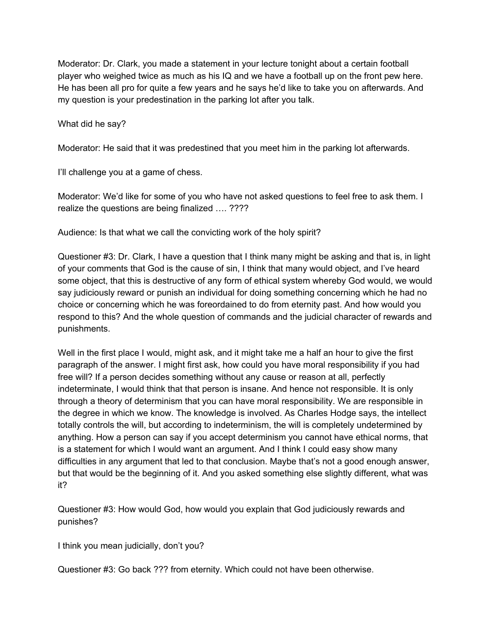Moderator: Dr. Clark, you made a statement in your lecture tonight about a certain football player who weighed twice as much as his IQ and we have a football up on the front pew here. He has been all pro for quite a few years and he says he'd like to take you on afterwards. And my question is your predestination in the parking lot after you talk.

What did he say?

Moderator: He said that it was predestined that you meet him in the parking lot afterwards.

I'll challenge you at a game of chess.

Moderator: We'd like for some of you who have not asked questions to feel free to ask them. I realize the questions are being finalized …. ????

Audience: Is that what we call the convicting work of the holy spirit?

Questioner #3: Dr. Clark, I have a question that I think many might be asking and that is, in light of your comments that God is the cause of sin, I think that many would object, and I've heard some object, that this is destructive of any form of ethical system whereby God would, we would say judiciously reward or punish an individual for doing something concerning which he had no choice or concerning which he was foreordained to do from eternity past. And how would you respond to this? And the whole question of commands and the judicial character of rewards and punishments.

Well in the first place I would, might ask, and it might take me a half an hour to give the first paragraph of the answer. I might first ask, how could you have moral responsibility if you had free will? If a person decides something without any cause or reason at all, perfectly indeterminate, I would think that that person is insane. And hence not responsible. It is only through a theory of determinism that you can have moral responsibility. We are responsible in the degree in which we know. The knowledge is involved. As Charles Hodge says, the intellect totally controls the will, but according to indeterminism, the will is completely undetermined by anything. How a person can say if you accept determinism you cannot have ethical norms, that is a statement for which I would want an argument. And I think I could easy show many difficulties in any argument that led to that conclusion. Maybe that's not a good enough answer, but that would be the beginning of it. And you asked something else slightly different, what was it?

Questioner #3: How would God, how would you explain that God judiciously rewards and punishes?

I think you mean judicially, don't you?

Questioner #3: Go back ??? from eternity. Which could not have been otherwise.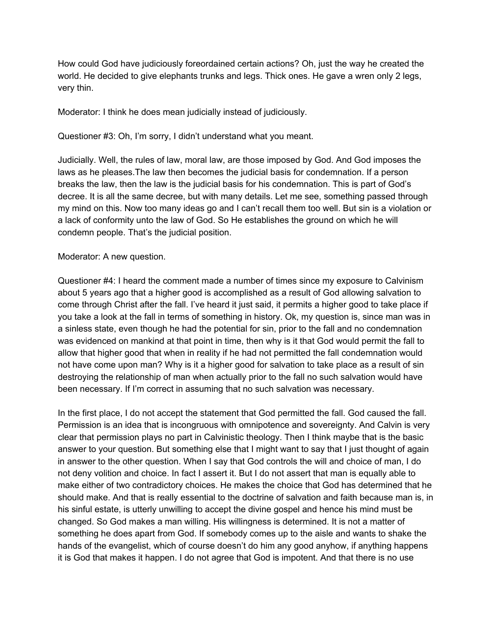How could God have judiciously foreordained certain actions? Oh, just the way he created the world. He decided to give elephants trunks and legs. Thick ones. He gave a wren only 2 legs, very thin.

Moderator: I think he does mean judicially instead of judiciously.

Questioner #3: Oh, I'm sorry, I didn't understand what you meant.

Judicially. Well, the rules of law, moral law, are those imposed by God. And God imposes the laws as he pleases.The law then becomes the judicial basis for condemnation. If a person breaks the law, then the law is the judicial basis for his condemnation. This is part of God's decree. It is all the same decree, but with many details. Let me see, something passed through my mind on this. Now too many ideas go and I can't recall them too well. But sin is a violation or a lack of conformity unto the law of God. So He establishes the ground on which he will condemn people. That's the judicial position.

## Moderator: A new question.

Questioner #4: I heard the comment made a number of times since my exposure to Calvinism about 5 years ago that a higher good is accomplished as a result of God allowing salvation to come through Christ after the fall. I've heard it just said, it permits a higher good to take place if you take a look at the fall in terms of something in history. Ok, my question is, since man was in a sinless state, even though he had the potential for sin, prior to the fall and no condemnation was evidenced on mankind at that point in time, then why is it that God would permit the fall to allow that higher good that when in reality if he had not permitted the fall condemnation would not have come upon man? Why is it a higher good for salvation to take place as a result of sin destroying the relationship of man when actually prior to the fall no such salvation would have been necessary. If I'm correct in assuming that no such salvation was necessary.

In the first place, I do not accept the statement that God permitted the fall. God caused the fall. Permission is an idea that is incongruous with omnipotence and sovereignty. And Calvin is very clear that permission plays no part in Calvinistic theology. Then I think maybe that is the basic answer to your question. But something else that I might want to say that I just thought of again in answer to the other question. When I say that God controls the will and choice of man, I do not deny volition and choice. In fact I assert it. But I do not assert that man is equally able to make either of two contradictory choices. He makes the choice that God has determined that he should make. And that is really essential to the doctrine of salvation and faith because man is, in his sinful estate, is utterly unwilling to accept the divine gospel and hence his mind must be changed. So God makes a man willing. His willingness is determined. It is not a matter of something he does apart from God. If somebody comes up to the aisle and wants to shake the hands of the evangelist, which of course doesn't do him any good anyhow, if anything happens it is God that makes it happen. I do not agree that God is impotent. And that there is no use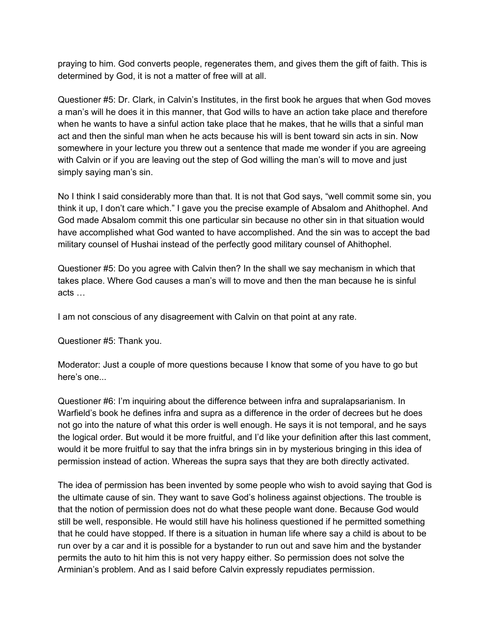praying to him. God converts people, regenerates them, and gives them the gift of faith. This is determined by God, it is not a matter of free will at all.

Questioner #5: Dr. Clark, in Calvin's Institutes, in the first book he argues that when God moves a man's will he does it in this manner, that God wills to have an action take place and therefore when he wants to have a sinful action take place that he makes, that he wills that a sinful man act and then the sinful man when he acts because his will is bent toward sin acts in sin. Now somewhere in your lecture you threw out a sentence that made me wonder if you are agreeing with Calvin or if you are leaving out the step of God willing the man's will to move and just simply saying man's sin.

No I think I said considerably more than that. It is not that God says, "well commit some sin, you think it up, I don't care which." I gave you the precise example of Absalom and Ahithophel. And God made Absalom commit this one particular sin because no other sin in that situation would have accomplished what God wanted to have accomplished. And the sin was to accept the bad military counsel of Hushai instead of the perfectly good military counsel of Ahithophel.

Questioner #5: Do you agree with Calvin then? In the shall we say mechanism in which that takes place. Where God causes a man's will to move and then the man because he is sinful acts …

I am not conscious of any disagreement with Calvin on that point at any rate.

Questioner #5: Thank you.

Moderator: Just a couple of more questions because I know that some of you have to go but here's one...

Questioner #6: I'm inquiring about the difference between infra and supralapsarianism. In Warfield's book he defines infra and supra as a difference in the order of decrees but he does not go into the nature of what this order is well enough. He says it is not temporal, and he says the logical order. But would it be more fruitful, and I'd like your definition after this last comment, would it be more fruitful to say that the infra brings sin in by mysterious bringing in this idea of permission instead of action. Whereas the supra says that they are both directly activated.

The idea of permission has been invented by some people who wish to avoid saying that God is the ultimate cause of sin. They want to save God's holiness against objections. The trouble is that the notion of permission does not do what these people want done. Because God would still be well, responsible. He would still have his holiness questioned if he permitted something that he could have stopped. If there is a situation in human life where say a child is about to be run over by a car and it is possible for a bystander to run out and save him and the bystander permits the auto to hit him this is not very happy either. So permission does not solve the Arminian's problem. And as I said before Calvin expressly repudiates permission.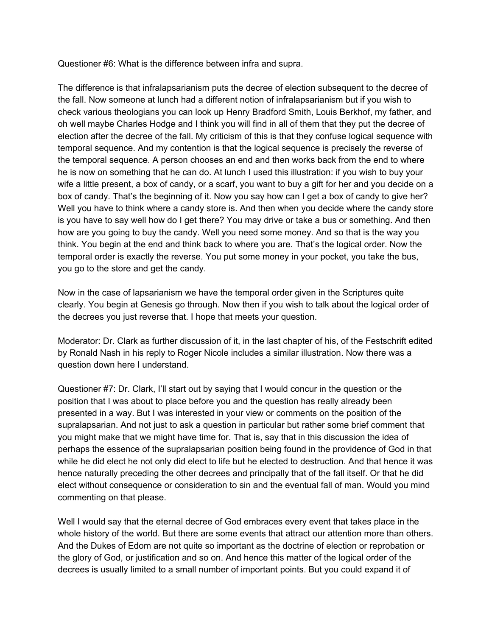Questioner #6: What is the difference between infra and supra.

The difference is that infralapsarianism puts the decree of election subsequent to the decree of the fall. Now someone at lunch had a different notion of infralapsarianism but if you wish to check various theologians you can look up Henry Bradford Smith, Louis Berkhof, my father, and oh well maybe Charles Hodge and I think you will find in all of them that they put the decree of election after the decree of the fall. My criticism of this is that they confuse logical sequence with temporal sequence. And my contention is that the logical sequence is precisely the reverse of the temporal sequence. A person chooses an end and then works back from the end to where he is now on something that he can do. At lunch I used this illustration: if you wish to buy your wife a little present, a box of candy, or a scarf, you want to buy a gift for her and you decide on a box of candy. That's the beginning of it. Now you say how can I get a box of candy to give her? Well you have to think where a candy store is. And then when you decide where the candy store is you have to say well how do I get there? You may drive or take a bus or something. And then how are you going to buy the candy. Well you need some money. And so that is the way you think. You begin at the end and think back to where you are. That's the logical order. Now the temporal order is exactly the reverse. You put some money in your pocket, you take the bus, you go to the store and get the candy.

Now in the case of lapsarianism we have the temporal order given in the Scriptures quite clearly. You begin at Genesis go through. Now then if you wish to talk about the logical order of the decrees you just reverse that. I hope that meets your question.

Moderator: Dr. Clark as further discussion of it, in the last chapter of his, of the Festschrift edited by Ronald Nash in his reply to Roger Nicole includes a similar illustration. Now there was a question down here I understand.

Questioner #7: Dr. Clark, I'll start out by saying that I would concur in the question or the position that I was about to place before you and the question has really already been presented in a way. But I was interested in your view or comments on the position of the supralapsarian. And not just to ask a question in particular but rather some brief comment that you might make that we might have time for. That is, say that in this discussion the idea of perhaps the essence of the supralapsarian position being found in the providence of God in that while he did elect he not only did elect to life but he elected to destruction. And that hence it was hence naturally preceding the other decrees and principally that of the fall itself. Or that he did elect without consequence or consideration to sin and the eventual fall of man. Would you mind commenting on that please.

Well I would say that the eternal decree of God embraces every event that takes place in the whole history of the world. But there are some events that attract our attention more than others. And the Dukes of Edom are not quite so important as the doctrine of election or reprobation or the glory of God, or justification and so on. And hence this matter of the logical order of the decrees is usually limited to a small number of important points. But you could expand it of